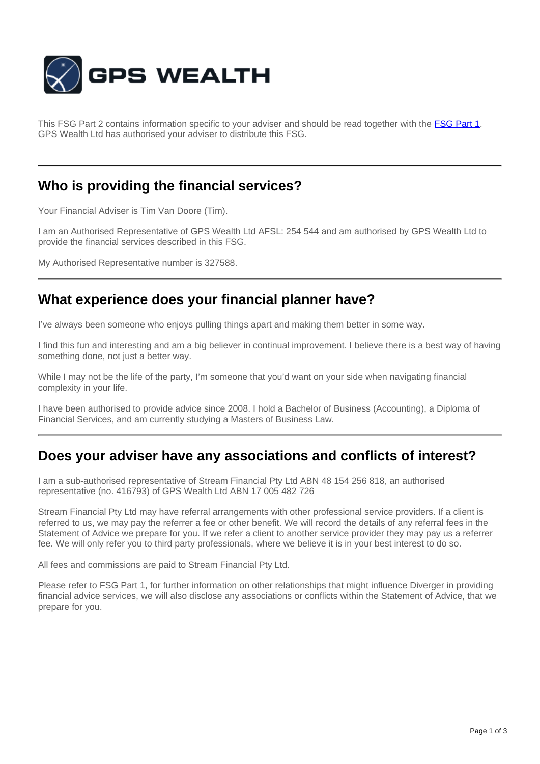

This FSG Part 2 contains information specific to your adviser and should be read together with the **[FSG Part 1](http://www.gpswealth.net.au/gps-test/site/GPS-FSG.pdf)**. GPS Wealth Ltd has authorised your adviser to distribute this FSG.

### **Who is providing the financial services?**

Your Financial Adviser is Tim Van Doore (Tim).

I am an Authorised Representative of GPS Wealth Ltd AFSL: 254 544 and am authorised by GPS Wealth Ltd to provide the financial services described in this FSG.

My Authorised Representative number is 327588.

## **What experience does your financial planner have?**

I've always been someone who enjoys pulling things apart and making them better in some way.

I find this fun and interesting and am a big believer in continual improvement. I believe there is a best way of having something done, not just a better way.

While I may not be the life of the party, I'm someone that you'd want on your side when navigating financial complexity in your life.

I have been authorised to provide advice since 2008. I hold a Bachelor of Business (Accounting), a Diploma of Financial Services, and am currently studying a Masters of Business Law.

#### **Does your adviser have any associations and conflicts of interest?**

I am a sub-authorised representative of Stream Financial Pty Ltd ABN 48 154 256 818, an authorised representative (no. 416793) of GPS Wealth Ltd ABN 17 005 482 726

Stream Financial Pty Ltd may have referral arrangements with other professional service providers. If a client is referred to us, we may pay the referrer a fee or other benefit. We will record the details of any referral fees in the Statement of Advice we prepare for you. If we refer a client to another service provider they may pay us a referrer fee. We will only refer you to third party professionals, where we believe it is in your best interest to do so.

All fees and commissions are paid to Stream Financial Pty Ltd.

Please refer to FSG Part 1, for further information on other relationships that might influence Diverger in providing financial advice services, we will also disclose any associations or conflicts within the Statement of Advice, that we prepare for you.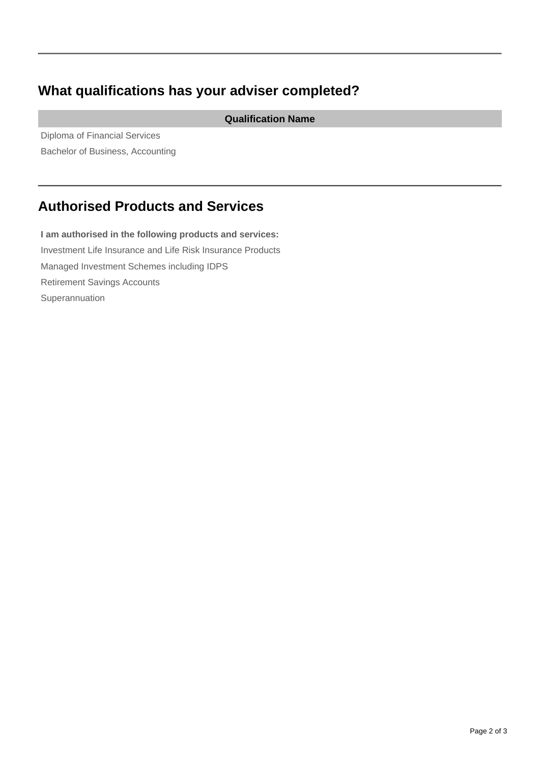## **What qualifications has your adviser completed?**

**Qualification Name**

Diploma of Financial Services Bachelor of Business, Accounting

# **Authorised Products and Services**

**I am authorised in the following products and services:** Investment Life Insurance and Life Risk Insurance Products Managed Investment Schemes including IDPS Retirement Savings Accounts Superannuation